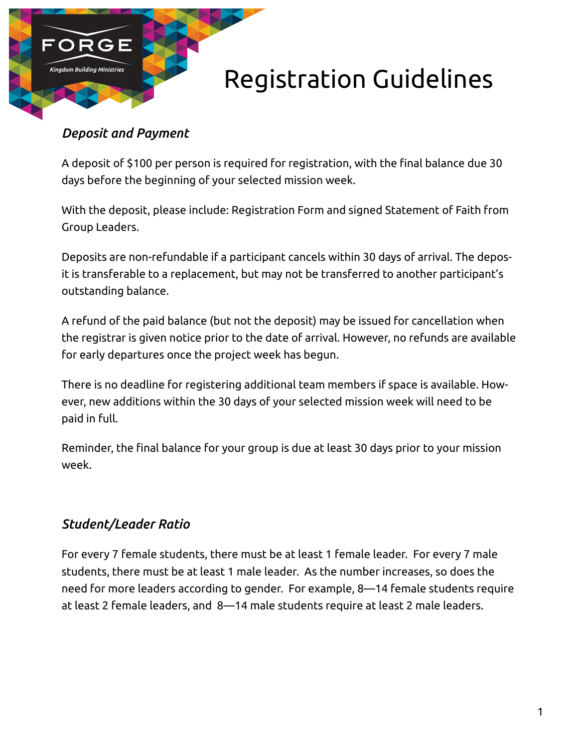

## *Deposit and Payment*

A deposit of \$100 per person is required for registration, with the final balance due 30 days before the beginning of your selected mission week.

With the deposit, please include: Registration Form and signed Statement of Faith from Group Leaders.

Deposits are non-refundable if a participant cancels within 30 days of arrival. The deposit is transferable to a replacement, but may not be transferred to another participant's outstanding balance.

A refund of the paid balance (but not the deposit) may be issued for cancellation when the registrar is given notice prior to the date of arrival. However, no refunds are available for early departures once the project week has begun.

There is no deadline for registering additional team members if space is available. However, new additions within the 30 days of your selected mission week will need to be paid in full.

Reminder, the final balance for your group is due at least 30 days prior to your mission week.

## *Student/Leader Ratio*

For every 7 female students, there must be at least 1 female leader. For every 7 male students, there must be at least 1 male leader. As the number increases, so does the need for more leaders according to gender. For example, 8—14 female students require at least 2 female leaders, and 8—14 male students require at least 2 male leaders.